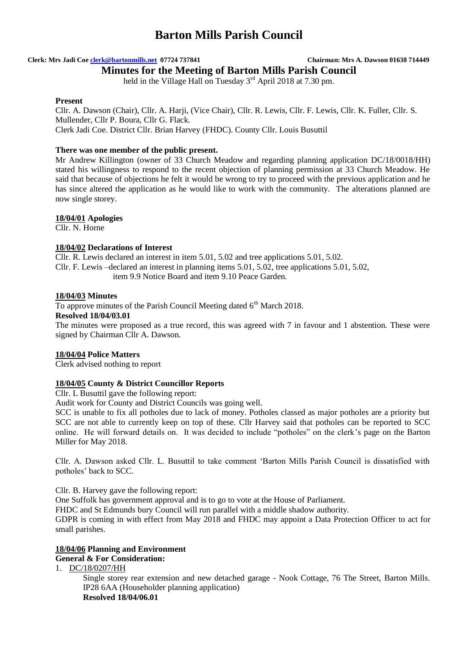**Clerk: Mrs Jadi Coe clerk@bartonmills.net 07724 737841 Chairman: Mrs A. Dawson 01638 714449**

**Minutes for the Meeting of Barton Mills Parish Council** held in the Village Hall on Tuesday 3<sup>rd</sup> April 2018 at 7.30 pm.

# **Present**

Cllr. A. Dawson (Chair), Cllr. A. Harji, (Vice Chair), Cllr. R. Lewis, Cllr. F. Lewis, Cllr. K. Fuller, Cllr. S. Mullender, Cllr P. Boura, Cllr G. Flack. Clerk Jadi Coe. District Cllr. Brian Harvey (FHDC). County Cllr. Louis Busuttil

# **There was one member of the public present.**

Mr Andrew Killington (owner of 33 Church Meadow and regarding planning application DC/18/0018/HH) stated his willingness to respond to the recent objection of planning permission at 33 Church Meadow. He said that because of objections he felt it would be wrong to try to proceed with the previous application and he has since altered the application as he would like to work with the community. The alterations planned are now single storey.

# **18/04/01 Apologies**

Cllr. N. Horne

# **18/04/02 Declarations of Interest**

Cllr. R. Lewis declared an interest in item 5.01, 5.02 and tree applications 5.01, 5.02. Cllr. F. Lewis –declared an interest in planning items 5.01, 5.02, tree applications 5.01, 5.02, item 9.9 Notice Board and item 9.10 Peace Garden.

### **18/04/03 Minutes**

To approve minutes of the Parish Council Meeting dated 6<sup>th</sup> March 2018.

### **Resolved 18/04/03.01**

The minutes were proposed as a true record, this was agreed with 7 in favour and 1 abstention. These were signed by Chairman Cllr A. Dawson.

# **18/04/04 Police Matters**

Clerk advised nothing to report

# **18/04/05 County & District Councillor Reports**

Cllr. L Busuttil gave the following report:

Audit work for County and District Councils was going well.

SCC is unable to fix all potholes due to lack of money. Potholes classed as major potholes are a priority but SCC are not able to currently keep on top of these. Cllr Harvey said that potholes can be reported to SCC online. He will forward details on. It was decided to include "potholes" on the clerk's page on the Barton Miller for May 2018.

Cllr. A. Dawson asked Cllr. L. Busuttil to take comment 'Barton Mills Parish Council is dissatisfied with potholes' back to SCC.

Cllr. B. Harvey gave the following report:

One Suffolk has government approval and is to go to vote at the House of Parliament.

FHDC and St Edmunds bury Council will run parallel with a middle shadow authority.

GDPR is coming in with effect from May 2018 and FHDC may appoint a Data Protection Officer to act for small parishes.

### **18/04/06 Planning and Environment General & For Consideration:**

1. DC/18/0207/HH

Single storey rear extension and new detached garage - Nook Cottage, 76 The Street, Barton Mills. IP28 6AA (Householder planning application)

**Resolved 18/04/06.01**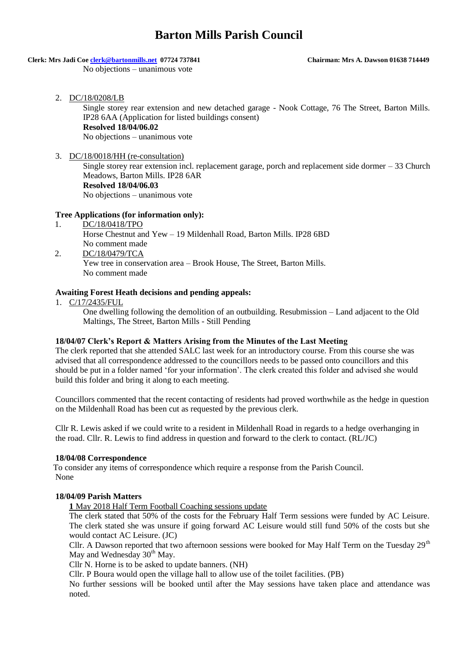# **Clerk: Mrs Jadi Coe clerk@bartonmills.net 07724 737841 Chairman: Mrs A. Dawson 01638 714449**

No objections – unanimous vote

2. DC/18/0208/LB

Single storey rear extension and new detached garage - Nook Cottage, 76 The Street, Barton Mills. IP28 6AA (Application for listed buildings consent) **Resolved 18/04/06.02** No objections – unanimous vote

# 3. DC/18/0018/HH (re-consultation)

Single storey rear extension incl. replacement garage, porch and replacement side dormer – 33 Church Meadows, Barton Mills. IP28 6AR **Resolved 18/04/06.03**

No objections – unanimous vote

# **Tree Applications (for information only):**

- 1. DC/18/0418/TPO Horse Chestnut and Yew – 19 Mildenhall Road, Barton Mills. IP28 6BD No comment made 2. DC/18/0479/TCA Yew tree in conservation area – Brook House, The Street, Barton Mills.
	- No comment made

# **Awaiting Forest Heath decisions and pending appeals:**

1. C/17/2435/FUL

One dwelling following the demolition of an outbuilding. Resubmission – Land adjacent to the Old Maltings, The Street, Barton Mills - Still Pending

### **18/04/07 Clerk's Report & Matters Arising from the Minutes of the Last Meeting**

The clerk reported that she attended SALC last week for an introductory course. From this course she was advised that all correspondence addressed to the councillors needs to be passed onto councillors and this should be put in a folder named 'for your information'. The clerk created this folder and advised she would build this folder and bring it along to each meeting.

Councillors commented that the recent contacting of residents had proved worthwhile as the hedge in question on the Mildenhall Road has been cut as requested by the previous clerk.

Cllr R. Lewis asked if we could write to a resident in Mildenhall Road in regards to a hedge overhanging in the road. Cllr. R. Lewis to find address in question and forward to the clerk to contact. (RL/JC)

### **18/04/08 Correspondence**

 To consider any items of correspondence which require a response from the Parish Council. None

### **18/04/09 Parish Matters**

**1** May 2018 Half Term Football Coaching sessions update

The clerk stated that 50% of the costs for the February Half Term sessions were funded by AC Leisure. The clerk stated she was unsure if going forward AC Leisure would still fund 50% of the costs but she would contact AC Leisure. (JC)

Cllr. A Dawson reported that two afternoon sessions were booked for May Half Term on the Tuesday 29<sup>th</sup> May and Wednesday 30<sup>th</sup> May.

Cllr N. Horne is to be asked to update banners. (NH)

Cllr. P Boura would open the village hall to allow use of the toilet facilities. (PB)

No further sessions will be booked until after the May sessions have taken place and attendance was noted.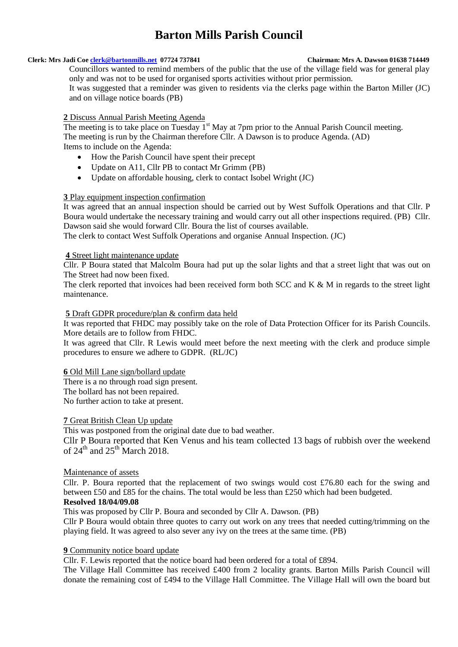### **Clerk: Mrs Jadi Coe clerk@bartonmills.net 07724 737841 Chairman: Mrs A. Dawson 01638 714449**

Councillors wanted to remind members of the public that the use of the village field was for general play only and was not to be used for organised sports activities without prior permission.

It was suggested that a reminder was given to residents via the clerks page within the Barton Miller (JC) and on village notice boards (PB)

# **2** Discuss Annual Parish Meeting Agenda

The meeting is to take place on Tuesday  $1<sup>st</sup>$  May at 7pm prior to the Annual Parish Council meeting. The meeting is run by the Chairman therefore Cllr. A Dawson is to produce Agenda. (AD) Items to include on the Agenda:

- How the Parish Council have spent their precept
- Update on A11, Cllr PB to contact Mr Grimm (PB)
- Update on affordable housing, clerk to contact Isobel Wright (JC)

# **3** Play equipment inspection confirmation

It was agreed that an annual inspection should be carried out by West Suffolk Operations and that Cllr. P Boura would undertake the necessary training and would carry out all other inspections required. (PB) Cllr. Dawson said she would forward Cllr. Boura the list of courses available.

The clerk to contact West Suffolk Operations and organise Annual Inspection. (JC)

# **4** Street light maintenance update

Cllr. P Boura stated that Malcolm Boura had put up the solar lights and that a street light that was out on The Street had now been fixed.

The clerk reported that invoices had been received form both SCC and K & M in regards to the street light maintenance.

### **5** Draft GDPR procedure/plan & confirm data held

It was reported that FHDC may possibly take on the role of Data Protection Officer for its Parish Councils. More details are to follow from FHDC.

It was agreed that Cllr. R Lewis would meet before the next meeting with the clerk and produce simple procedures to ensure we adhere to GDPR. (RL/JC)

### **6** Old Mill Lane sign/bollard update

There is a no through road sign present. The bollard has not been repaired.

No further action to take at present.

### **7** Great British Clean Up update

This was postponed from the original date due to bad weather.

Cllr P Boura reported that Ken Venus and his team collected 13 bags of rubbish over the weekend of  $24<sup>th</sup>$  and  $25<sup>th</sup>$  March 2018.

### Maintenance of assets

Cllr. P. Boura reported that the replacement of two swings would cost £76.80 each for the swing and between £50 and £85 for the chains. The total would be less than £250 which had been budgeted.

### **Resolved 18/04/09.08**

This was proposed by Cllr P. Boura and seconded by Cllr A. Dawson. (PB)

Cllr P Boura would obtain three quotes to carry out work on any trees that needed cutting/trimming on the playing field. It was agreed to also sever any ivy on the trees at the same time. (PB)

### **9** Community notice board update

Cllr. F. Lewis reported that the notice board had been ordered for a total of £894.

The Village Hall Committee has received £400 from 2 locality grants. Barton Mills Parish Council will donate the remaining cost of £494 to the Village Hall Committee. The Village Hall will own the board but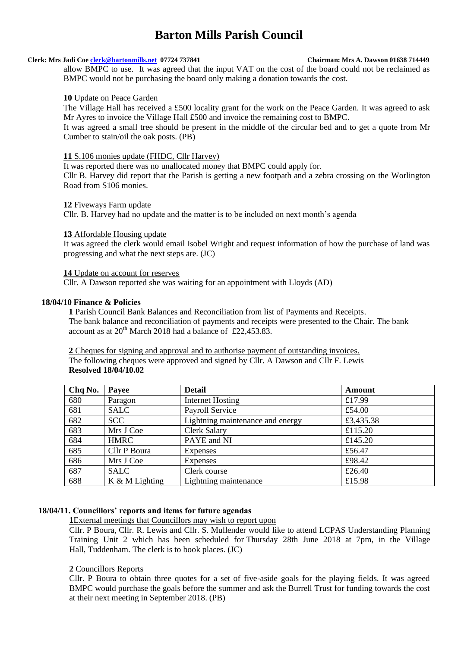# **Clerk: Mrs Jadi Coe clerk@bartonmills.net 07724 737841 Chairman: Mrs A. Dawson 01638 714449**

allow BMPC to use. It was agreed that the input VAT on the cost of the board could not be reclaimed as BMPC would not be purchasing the board only making a donation towards the cost.

### **10** Update on Peace Garden

The Village Hall has received a £500 locality grant for the work on the Peace Garden. It was agreed to ask Mr Ayres to invoice the Village Hall £500 and invoice the remaining cost to BMPC.

It was agreed a small tree should be present in the middle of the circular bed and to get a quote from Mr Cumber to stain/oil the oak posts. (PB)

#### **11** S.106 monies update (FHDC, Cllr Harvey)

It was reported there was no unallocated money that BMPC could apply for.

Cllr B. Harvey did report that the Parish is getting a new footpath and a zebra crossing on the Worlington Road from S106 monies.

#### **12** Fiveways Farm update

Cllr. B. Harvey had no update and the matter is to be included on next month's agenda

# **13** Affordable Housing update

It was agreed the clerk would email Isobel Wright and request information of how the purchase of land was progressing and what the next steps are. (JC)

### **14** Update on account for reserves

Cllr. A Dawson reported she was waiting for an appointment with Lloyds (AD)

#### **18/04/10 Finance & Policies**

**1** Parish Council Bank Balances and Reconciliation from list of Payments and Receipts. The bank balance and reconciliation of payments and receipts were presented to the Chair. The bank account as at  $20^{th}$  March 2018 had a balance of £22,453.83.

**2** Cheques for signing and approval and to authorise payment of outstanding invoices. The following cheques were approved and signed by Cllr. A Dawson and Cllr F. Lewis **Resolved 18/04/10.02**

| Chq No. | Payee          | <b>Detail</b>                    | <b>Amount</b> |
|---------|----------------|----------------------------------|---------------|
| 680     | Paragon        | Internet Hosting                 | £17.99        |
| 681     | <b>SALC</b>    | Payroll Service                  | £54.00        |
| 682     | <b>SCC</b>     | Lightning maintenance and energy | £3,435.38     |
| 683     | Mrs J Coe      | <b>Clerk Salary</b>              | £115.20       |
| 684     | <b>HMRC</b>    | PAYE and NI                      | £145.20       |
| 685     | Cllr P Boura   | <b>Expenses</b>                  | £56.47        |
| 686     | Mrs J Coe      | <b>Expenses</b>                  | £98.42        |
| 687     | <b>SALC</b>    | Clerk course                     | £26.40        |
| 688     | K & M Lighting | Lightning maintenance            | £15.98        |

### **18/04/11. Councillors' reports and items for future agendas**

**1**External meetings that Councillors may wish to report upon

Cllr. P Boura, Cllr. R. Lewis and Cllr. S. Mullender would like to attend LCPAS Understanding Planning Training Unit 2 which has been scheduled for Thursday 28th June 2018 at 7pm, in the Village Hall, Tuddenham. The clerk is to book places. (JC)

### **2** Councillors Reports

Cllr. P Boura to obtain three quotes for a set of five-aside goals for the playing fields. It was agreed BMPC would purchase the goals before the summer and ask the Burrell Trust for funding towards the cost at their next meeting in September 2018. (PB)